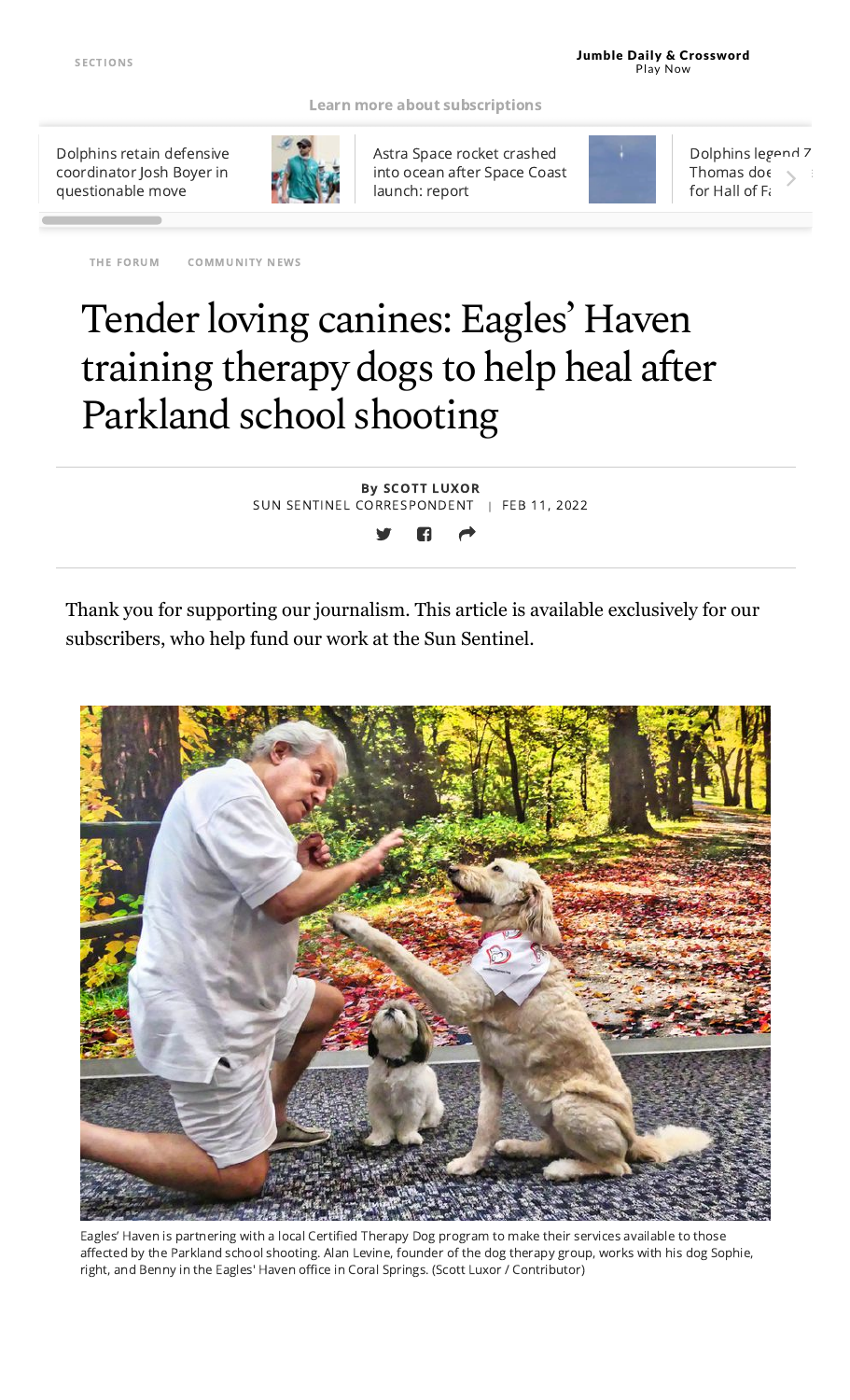#### Learn more about [subscriptions](https://www.sun-sentinel.com/about/fl-south-florida-sun-sentinel-subscriber-benefits-20190723-57swzzhygzhejnm3r4icfgknti-story.html#nt=screamer)

Dolphins retain defensive coordinator Josh Boyer in [questionable](https://www.sun-sentinel.com/sports/miami-dolphins/fl-sp-dolphins-josh-boyer-defensive-coordinator-20220211-o6gzr47gvzfnzkbloqxjvp4bau-story.html#nt=tertiarynavbar&nt=ticker) move



Astra Space rocket [crashed](https://www.sun-sentinel.com/news/florida/os-bz-astra-space-rocket-crash-ocean-failure-20220211-4dp2onpkrjdr5fqjpofdv35zzm-story.html#nt=tertiarynavbar&nt=ticker) into ocean after Space Coast launch: report

THE [FORUM](https://www.sun-sentinel.com/community/the-forum/#nt=taxonomy-article) [COMMUNITY](https://www.sun-sentinel.com/community/#nt=taxonomy-article) NEWS



[Dolphins](https://www.sun-sentinel.com/sports/miami-dolphins/fl-sp-dolphins-zach-thomas-hall-of-fame-20220210-pjvy5r6la5f3ffaoarqwz7thju-story.html#nt=tertiarynavbar&nt=ticker) legend Z Thomas do $\epsilon$ for Hall of F

Tender loving canines: Eagles' Haven training therapy dogs to help heal after Parkland school shooting

> By SCOTT LUXOR SUN SENTINEL CORRESPONDENT | FEB 11, 2022

Thank you for supporting our journalism. This article is available exclusively for our subscribers, who help fund our work at the Sun Sentinel.



Eagles' Haven is partnering with a local Certified Therapy Dog program to make their services available to those affected by the Parkland school shooting. Alan Levine, founder of the dog therapy group, works with his dog Sophie, right, and Benny in the Eagles' Haven office in Coral Springs. (Scott Luxor / Contributor)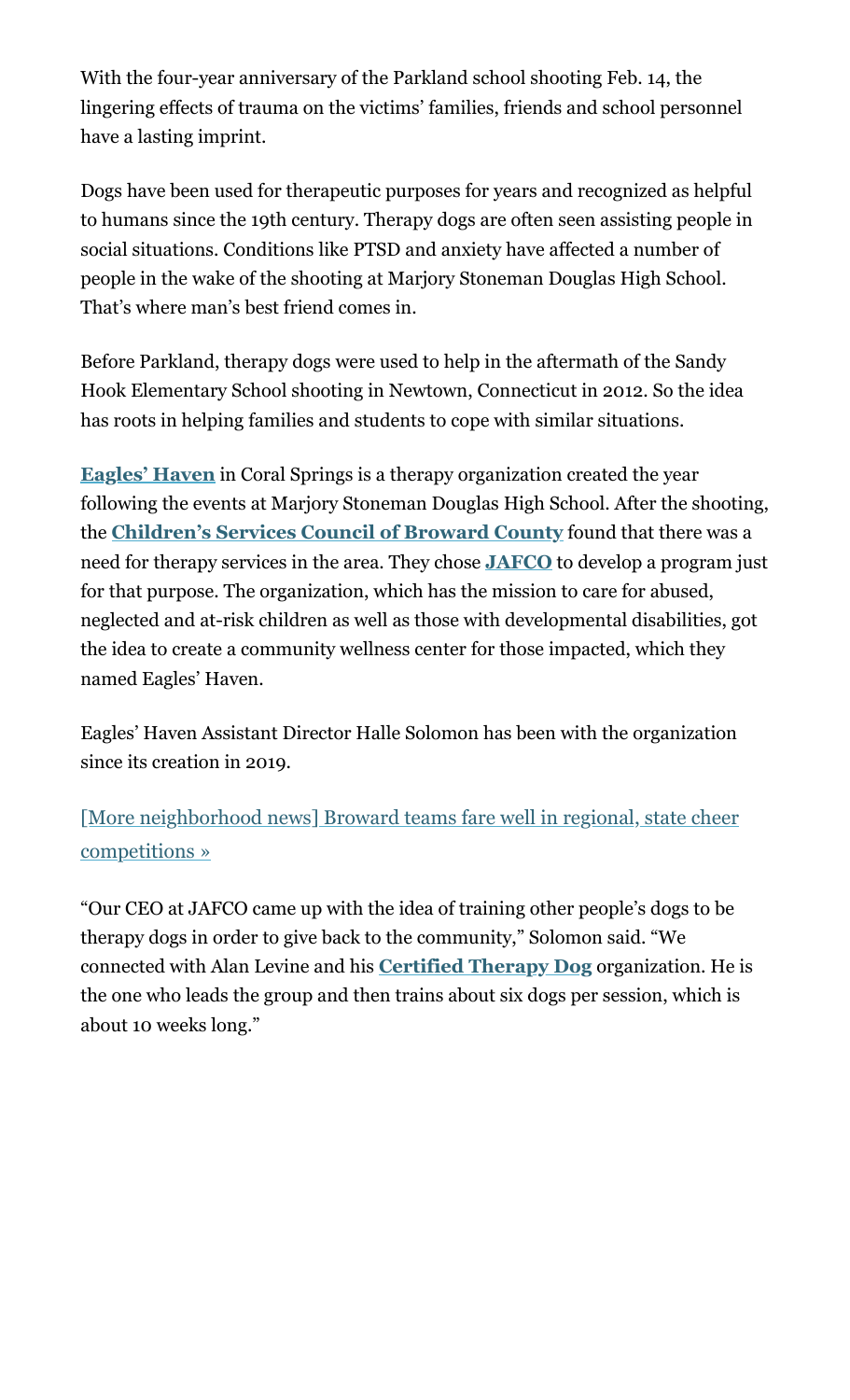With the four-year anniversary of the Parkland school shooting Feb. 14, the lingering effects of trauma on the victims' families, friends and school personnel have a lasting imprint.

Dogs have been used for therapeutic purposes for years and recognized as helpful to humans since the 19th century. Therapy dogs are often seen assisting people in social situations. Conditions like PTSD and anxiety have affected a number of people in the wake of the shooting at Marjory Stoneman Douglas High School. That's where man's best friend comes in.

Before Parkland, therapy dogs were used to help in the aftermath of the Sandy Hook Elementary School shooting in Newtown, Connecticut in 2012. So the idea has roots in helping families and students to cope with similar situations.

**[Eagles' Haven](https://www.eagleshaven.org/)** in Coral Springs is a therapy organization created the year following the events at Marjory Stoneman Douglas High School. After the shooting, the **[Children's Services Council of Broward County](https://www.cscbroward.org/)** found that there was a need for therapy services in the area. They chose **[JAFCO](https://www.jafco.org/)** to develop a program just for that purpose. The organization, which has the mission to care for abused, neglected and at-risk children as well as those with developmental disabilities, got the idea to create a community wellness center for those impacted, which they named Eagles' Haven.

Eagles' Haven Assistant Director Halle Solomon has been with the organization since its creation in 2019.

[\[More neighborhood news\] Broward teams fare well in regional, state cheer](https://www.sun-sentinel.com/community/the-forum/fl-cn-regional-state-cheer-competitions-local-hs-20220210-wbbfkjv7rrgjpjjvj5q2a3oolu-story.html#nt=interstitial-auto) competitions »

"Our CEO at JAFCO came up with the idea of training other people's dogs to be therapy dogs in order to give back to the community," Solomon said. "We connected with Alan Levine and his **[Certified Therapy Dog](https://www.certifiedtherapydog.com/our-founders)** organization. He is the one who leads the group and then trains about six dogs per session, which is about 10 weeks long."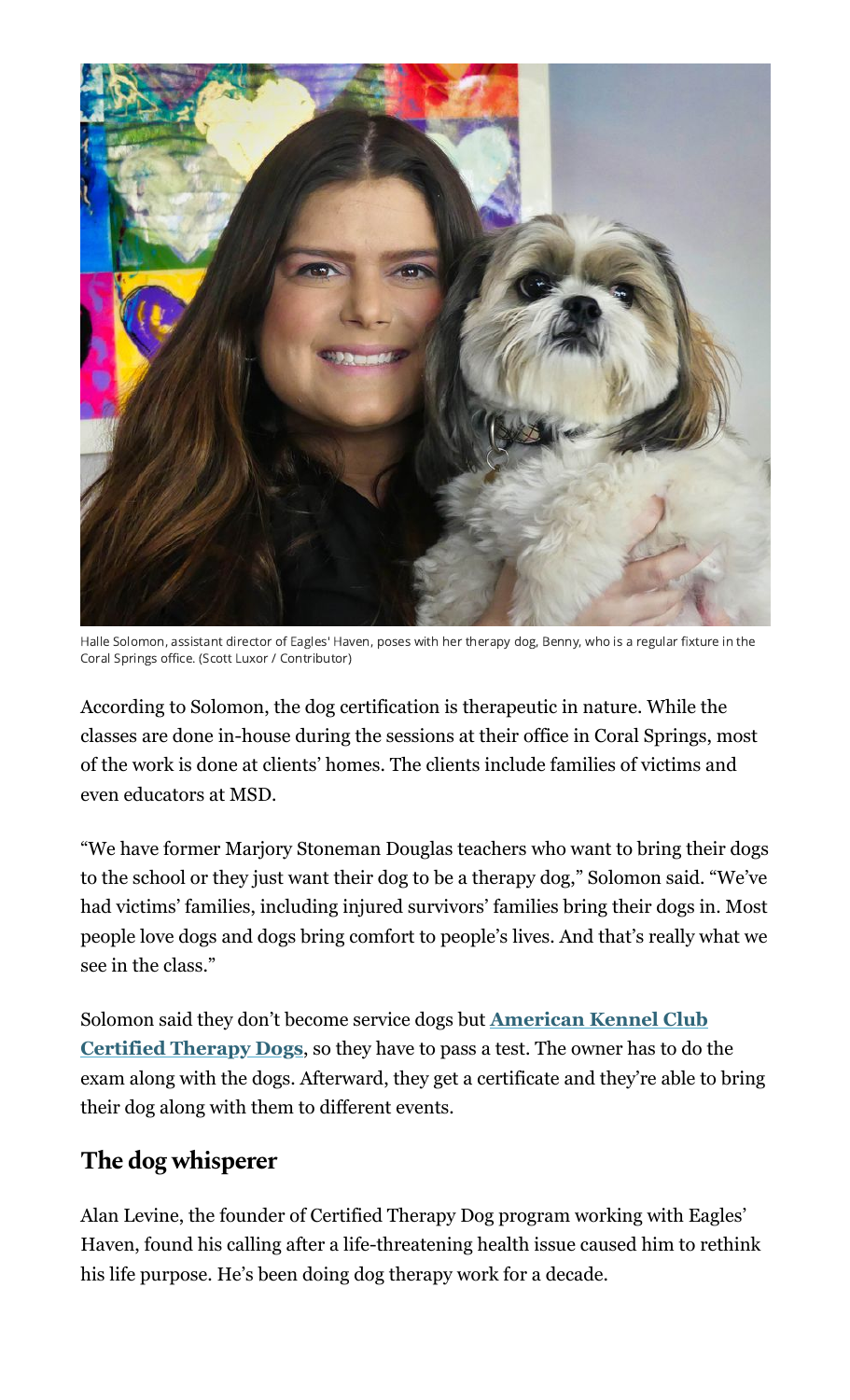

Halle Solomon, assistant director of Eagles' Haven, poses with her therapy dog, Benny, who is a regular fixture in the Coral Springs office. (Scott Luxor / Contributor)

According to Solomon, the dog certification is therapeutic in nature. While the classes are done in-house during the sessions at their office in Coral Springs, most of the work is done at clients' homes. The clients include families of victims and even educators at MSD.

"We have former Marjory Stoneman Douglas teachers who want to bring their dogs to the school or they just want their dog to be a therapy dog," Solomon said. "We've had victims' families, including injured survivors' families bring their dogs in. Most people love dogs and dogs bring comfort to people's lives. And that's really what we see in the class."

[Solomon said they don't become service dogs but](https://www.akc.org/products-services/training-programs/akc-therapy-dog-program/) **American Kennel Club Certified Therapy Dogs**, so they have to pass a test. The owner has to do the exam along with the dogs. Afterward, they get a certificate and they're able to bring their dog along with them to different events.

# **The dog whisperer**

Alan Levine, the founder of Certified Therapy Dog program working with Eagles' Haven, found his calling after a life-threatening health issue caused him to rethink his life purpose. He's been doing dog therapy work for a decade.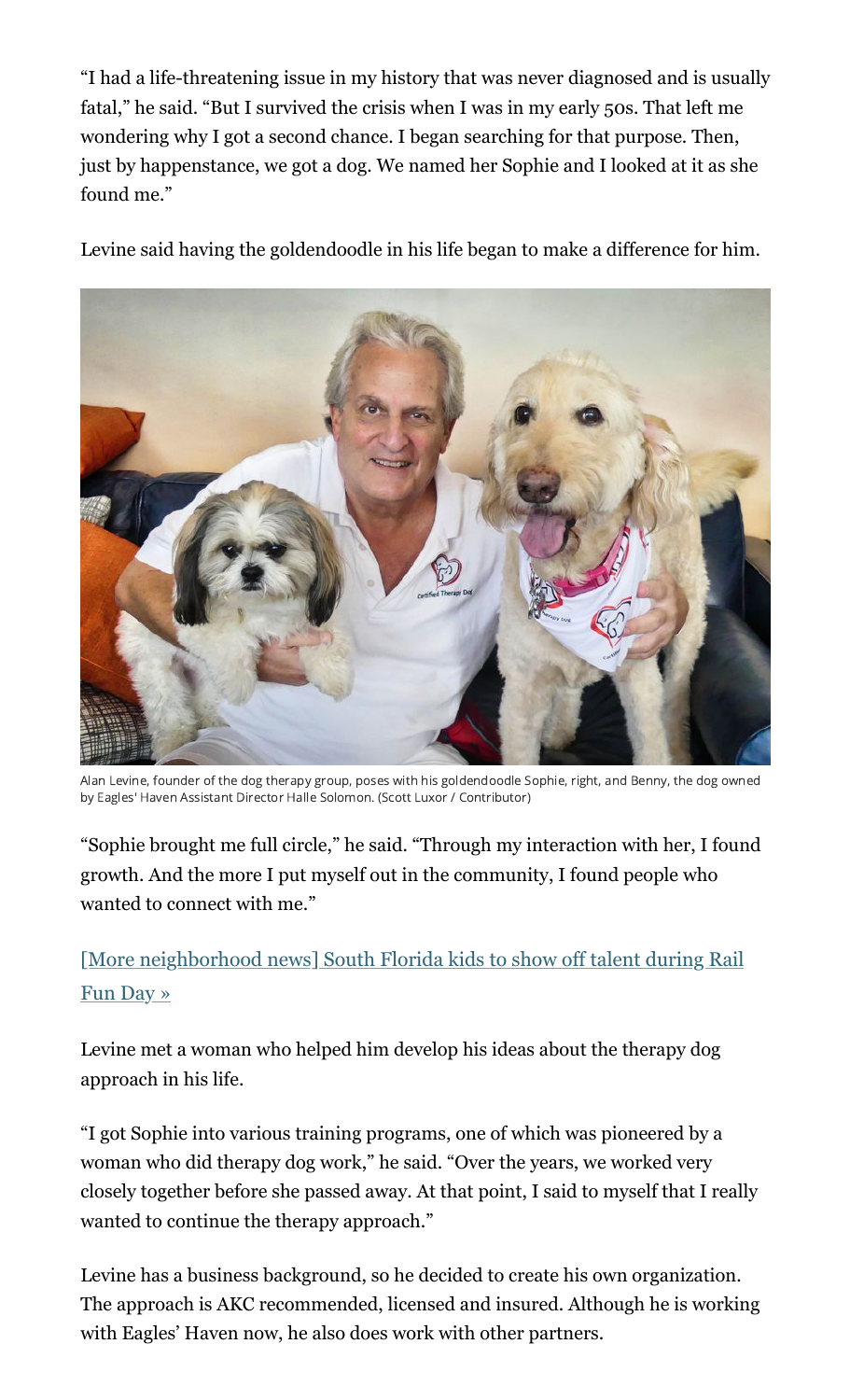"I had a life-threatening issue in my history that was never diagnosed and is usually fatal," he said. "But I survived the crisis when I was in my early 50s. That left me wondering why I got a second chance. I began searching for that purpose. Then, just by happenstance, we got a dog. We named her Sophie and I looked at it as she found me."

Levine said having the goldendoodle in his life began to make a difference for him.



Alan Levine, founder of the dog therapy group, poses with his goldendoodle Sophie, right, and Benny, the dog owned by Eagles' Haven Assistant Director Halle Solomon. (Scott Luxor / Contributor)

"Sophie brought me full circle," he said. "Through my interaction with her, I found growth. And the more I put myself out in the community, I found people who wanted to connect with me."

[\[More neighborhood news\] South Florida kids to show off talent during Rail](https://www.sun-sentinel.com/community/riverside-times/fl-cn-tri-rail-jpe-dimaggio-childrens-hospital-rail-fun-day-20220210-b2ddc3h4kjgwtmfoxfgkgog7h4-story.html#nt=interstitial-auto) Fun Day »

Levine met a woman who helped him develop his ideas about the therapy dog approach in his life.

"I got Sophie into various training programs, one of which was pioneered by a woman who did therapy dog work," he said. "Over the years, we worked very closely together before she passed away. At that point, I said to myself that I really wanted to continue the therapy approach."

Levine has a business background, so he decided to create his own organization. The approach is AKC recommended, licensed and insured. Although he is working with Eagles' Haven now, he also does work with other partners.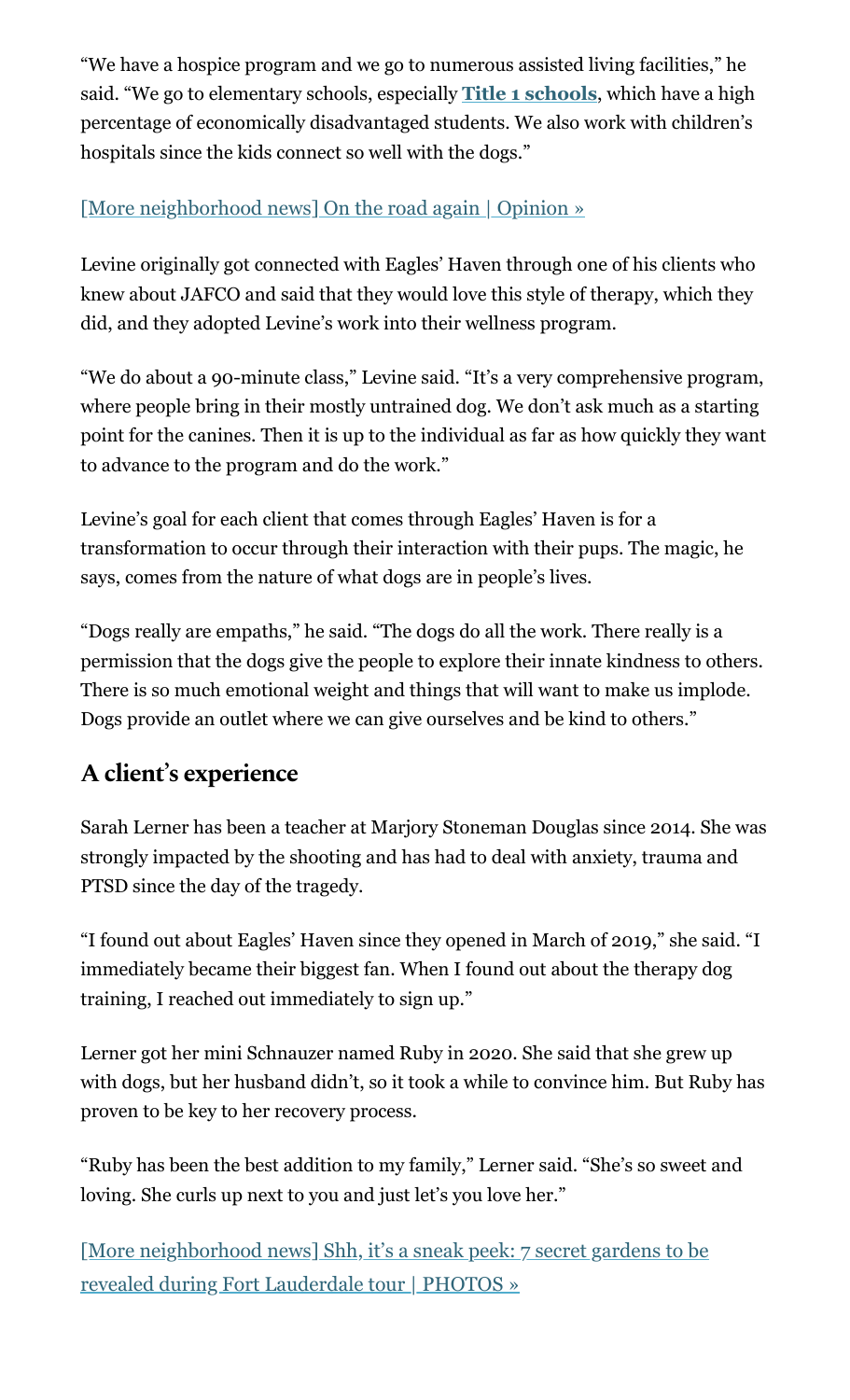"We have a hospice program and we go to numerous assisted living facilities," he said. "We go to elementary schools, especially **[Title 1 schools](https://www.fldoe.org/policy/federal-edu-programs/title-i-part-a-improving-the-academic-/)**, which have a high percentage of economically disadvantaged students. We also work with children's hospitals since the kids connect so well with the dogs."

# [\[More neighborhood news\] On the road again | Opinion »](https://www.sun-sentinel.com/community/the-forum/fl-cn-opinion-on-the-road-again-20220210-gpllaq55ybce5giqcel4p7wxje-story.html#nt=interstitial-auto)

Levine originally got connected with Eagles' Haven through one of his clients who knew about JAFCO and said that they would love this style of therapy, which they did, and they adopted Levine's work into their wellness program.

"We do about a 90-minute class," Levine said. "It's a very comprehensive program, where people bring in their mostly untrained dog. We don't ask much as a starting point for the canines. Then it is up to the individual as far as how quickly they want to advance to the program and do the work."

Levine's goal for each client that comes through Eagles' Haven is for a transformation to occur through their interaction with their pups. The magic, he says, comes from the nature of what dogs are in people's lives.

"Dogs really are empaths," he said. "The dogs do all the work. There really is a permission that the dogs give the people to explore their innate kindness to others. There is so much emotional weight and things that will want to make us implode. Dogs provide an outlet where we can give ourselves and be kind to others."

# **A client' s experience**

Sarah Lerner has been a teacher at Marjory Stoneman Douglas since 2014. She was strongly impacted by the shooting and has had to deal with anxiety, trauma and PTSD since the day of the tragedy.

"I found out about Eagles' Haven since they opened in March of 2019," she said. "I immediately became their biggest fan. When I found out about the therapy dog training, I reached out immediately to sign up."

Lerner got her mini Schnauzer named Ruby in 2020. She said that she grew up with dogs, but her husband didn't, so it took a while to convince him. But Ruby has proven to be key to her recovery process.

"Ruby has been the best addition to my family," Lerner said. "She's so sweet and loving. She curls up next to you and just let's you love her."

[\[More neighborhood news\] Shh, it's a sneak peek: 7 secret gardens to be](https://www.sun-sentinel.com/community/riverside-times/fl-cn-fort-lauderdale-secret-garden-tour-20220210-f2uxls3nnrhltaffj7g6iczeka-story.html#nt=interstitial-auto) revealed during Fort Lauderdale tour | PHOTOS »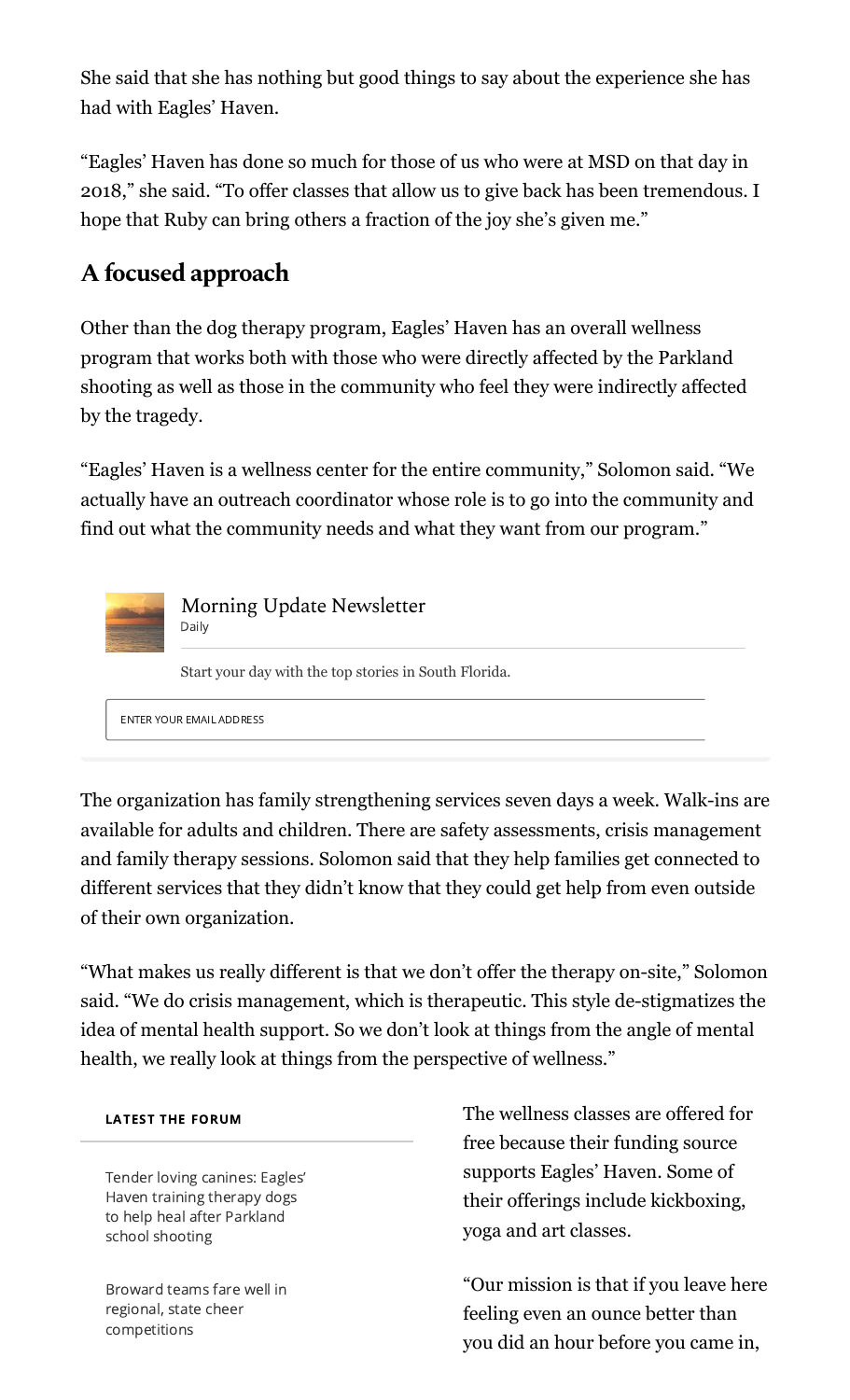She said that she has nothing but good things to say about the experience she has had with Eagles' Haven.

"Eagles' Haven has done so much for those of us who were at MSD on that day in 2018," she said. "To offer classes that allow us to give back has been tremendous. I hope that Ruby can bring others a fraction of the joy she's given me."

# **A focused approach**

Other than the dog therapy program, Eagles' Haven has an overall wellness program that works both with those who were directly affected by the Parkland shooting as well as those in the community who feel they were indirectly affected by the tragedy.

"Eagles' Haven is a wellness center for the entire community," Solomon said. "We actually have an outreach coordinator whose role is to go into the community and find out what the community needs and what they want from our program."



Morning Update Newsletter Daily

Start your day with the top stories in South Florida.

ENTER YOUR EMAIL ADDRESS

The organization has family strengthening services seven days a week. Walk-ins are available for adults and children. There are safety assessments, crisis management and family therapy sessions. Solomon said that they help families get connected to different services that they didn't know that they could get help from even outside of their own organization.

"What makes us really different is that we don't offer the therapy on-site," Solomon said. "We do crisis management, which is therapeutic. This style de-stigmatizes the idea of mental health support. So we don't look at things from the angle of mental health, we really look at things from the perspective of wellness."

## LATEST THE FORUM

Tender loving canines: Eagles' Haven training therapy dogs to help heal after Parkland school shooting

Broward teams fare well in regional, state cheer [competitions](https://www.sun-sentinel.com/community/the-forum/fl-cn-regional-state-cheer-competitions-local-hs-20220210-wbbfkjv7rrgjpjjvj5q2a3oolu-story.html#nt=latestnews&rt=chartbeat-flt)

The wellness classes are offered for free because their funding source supports Eagles' Haven. Some of their offerings include kickboxing, yoga and art classes.

"Our mission is that if you leave here feeling even an ounce better than you did an hour before you came in,